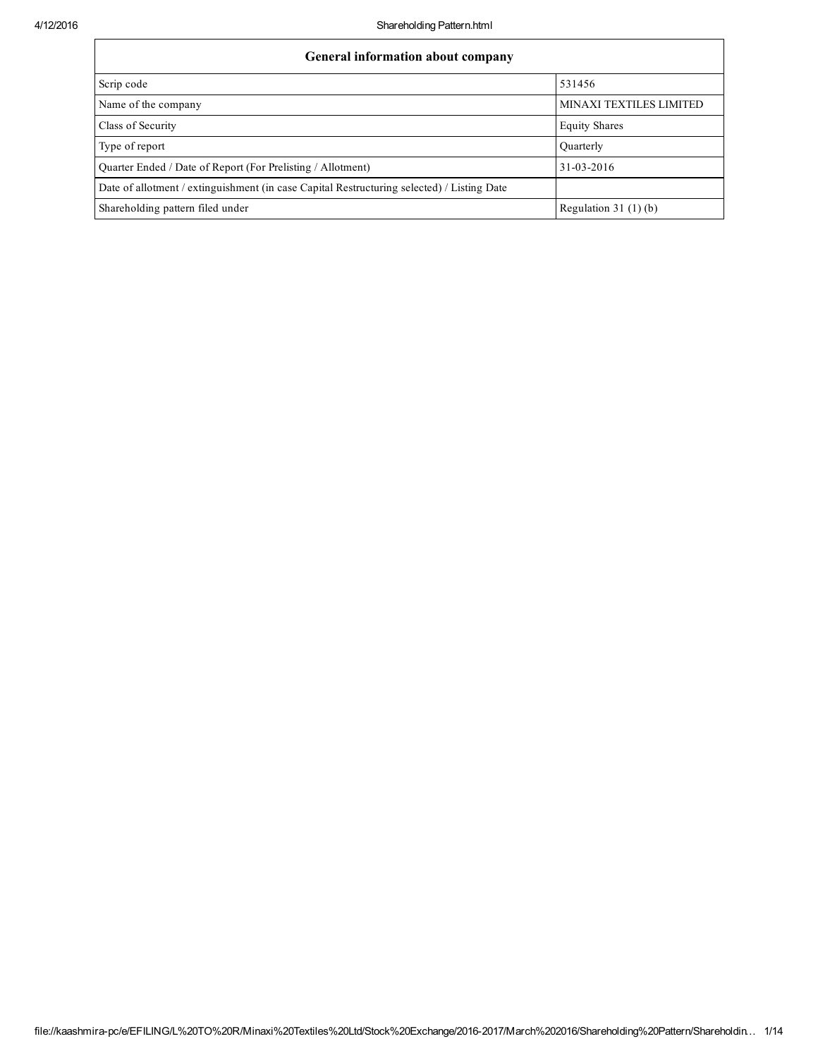| <b>General information about company</b>                                                   |                         |
|--------------------------------------------------------------------------------------------|-------------------------|
| Scrip code                                                                                 | 531456                  |
| Name of the company                                                                        | MINAXI TEXTILES LIMITED |
| Class of Security                                                                          | <b>Equity Shares</b>    |
| Type of report                                                                             | <b>Quarterly</b>        |
| Quarter Ended / Date of Report (For Prelisting / Allotment)                                | 31-03-2016              |
| Date of allotment / extinguishment (in case Capital Restructuring selected) / Listing Date |                         |
| Shareholding pattern filed under                                                           | Regulation $31(1)(b)$   |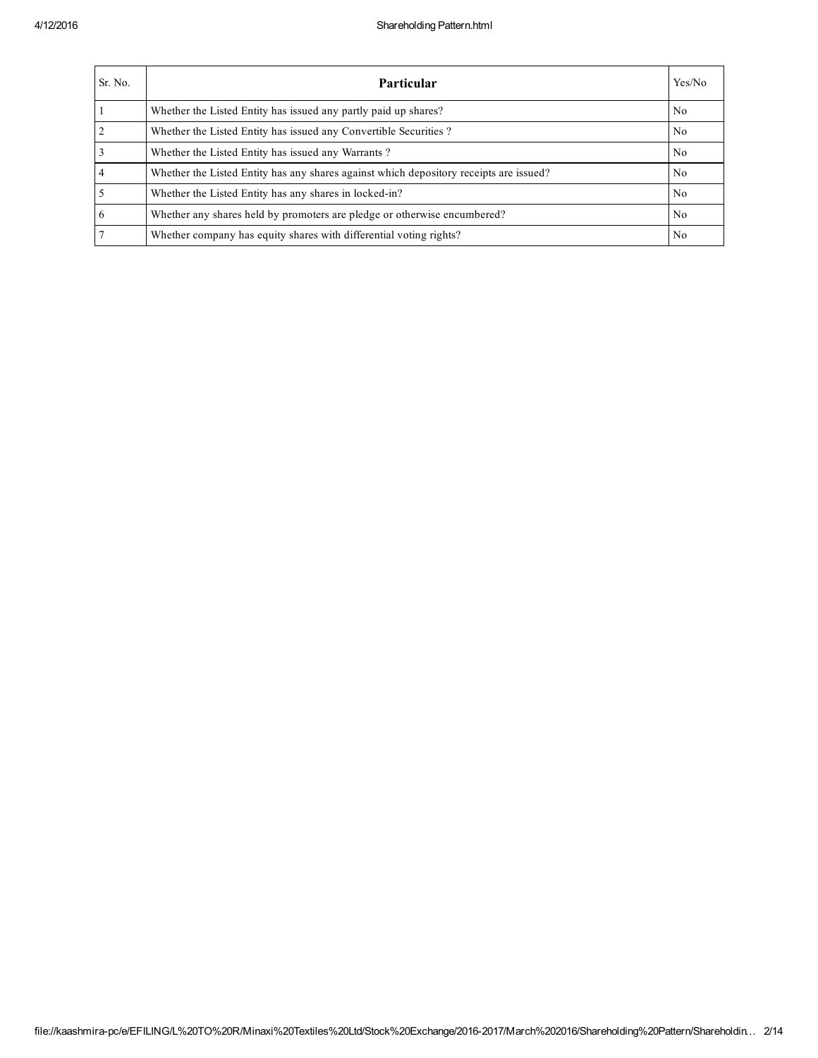| Sr. No.        | <b>Particular</b>                                                                      | Yes/No         |
|----------------|----------------------------------------------------------------------------------------|----------------|
|                | Whether the Listed Entity has issued any partly paid up shares?                        | N <sub>0</sub> |
| $\overline{2}$ | Whether the Listed Entity has issued any Convertible Securities?                       | N <sub>0</sub> |
|                | Whether the Listed Entity has issued any Warrants?                                     | N <sub>0</sub> |
| $\overline{4}$ | Whether the Listed Entity has any shares against which depository receipts are issued? | N <sub>0</sub> |
|                | Whether the Listed Entity has any shares in locked-in?                                 | N <sub>0</sub> |
| 6              | Whether any shares held by promoters are pledge or otherwise encumbered?               | N <sub>0</sub> |
|                | Whether company has equity shares with differential voting rights?                     | No             |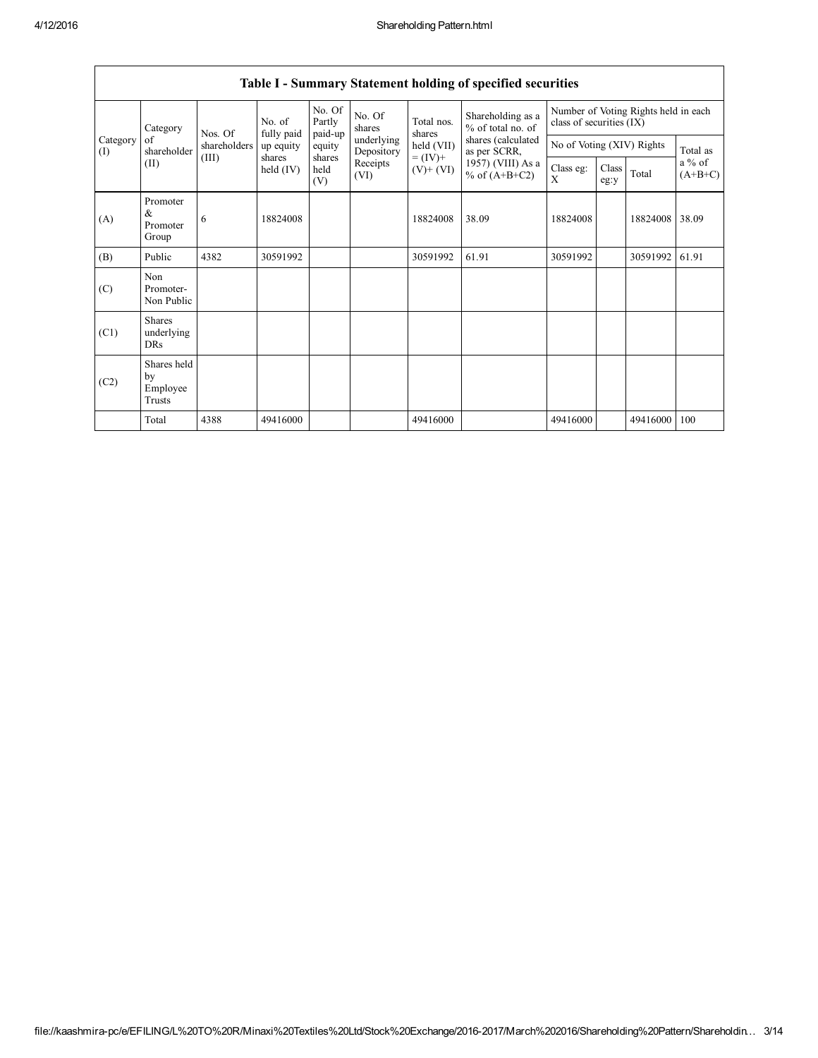|                 | Category                                | Nos. Of      | No. of<br>fully paid  | No. Of<br>Partly<br>paid-up | No. Of<br>shares         | Total nos.<br>shares     | Shareholding as a<br>% of total no. of<br>shares (calculated<br>as per SCRR,<br>1957) (VIII) As a<br>% of $(A+B+C2)$ | Number of Voting Rights held in each<br>class of securities (IX) |               |          |                       |
|-----------------|-----------------------------------------|--------------|-----------------------|-----------------------------|--------------------------|--------------------------|----------------------------------------------------------------------------------------------------------------------|------------------------------------------------------------------|---------------|----------|-----------------------|
| Category<br>(I) | of<br>shareholder                       | shareholders | up equity             | equity                      | underlying<br>Depository | held (VII)               |                                                                                                                      | No of Voting (XIV) Rights                                        |               |          | Total as              |
| (II)            |                                         | (III)        | shares<br>held $(IV)$ | shares<br>held<br>(V)       | Receipts<br>(VI)         | $= (IV) +$<br>$(V)+(VI)$ |                                                                                                                      | Class eg:<br>X                                                   | Class<br>eg:y | Total    | $a\%$ of<br>$(A+B+C)$ |
| (A)             | Promoter<br>$\&$<br>Promoter<br>Group   | 6            | 18824008              |                             |                          | 18824008                 | 38.09                                                                                                                | 18824008                                                         |               | 18824008 | 38.09                 |
| (B)             | Public                                  | 4382         | 30591992              |                             |                          | 30591992                 | 61.91                                                                                                                | 30591992                                                         |               | 30591992 | 61.91                 |
| (C)             | Non<br>Promoter-<br>Non Public          |              |                       |                             |                          |                          |                                                                                                                      |                                                                  |               |          |                       |
| (C1)            | <b>Shares</b><br>underlying<br>DRs      |              |                       |                             |                          |                          |                                                                                                                      |                                                                  |               |          |                       |
| (C2)            | Shares held<br>by<br>Employee<br>Trusts |              |                       |                             |                          |                          |                                                                                                                      |                                                                  |               |          |                       |
|                 | Total                                   | 4388         | 49416000              |                             |                          | 49416000                 |                                                                                                                      | 49416000                                                         |               | 49416000 | 100                   |

## Table I - Summary Statement holding of specified securities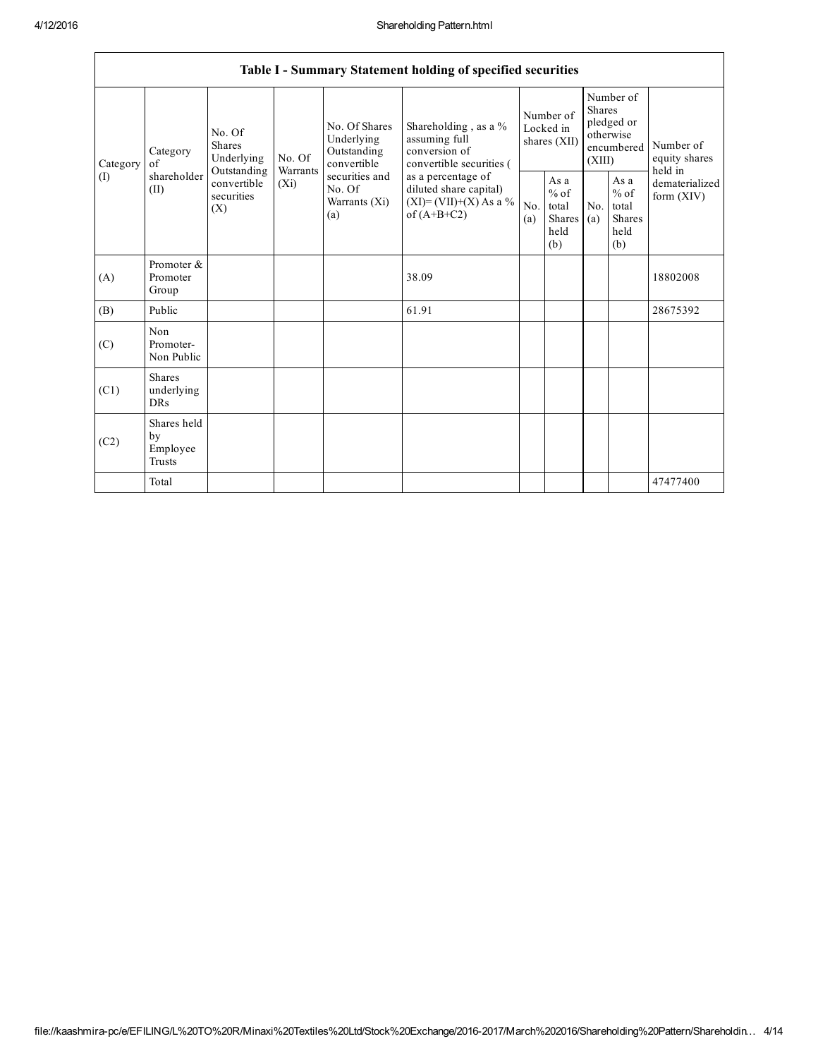|                 |                                                |                                                                                                                 |        |                                                                                                                 | Table I - Summary Statement holding of specified securities                                                                                                                      |                                        |                                                  |                                                                               |                                                  |                                       |
|-----------------|------------------------------------------------|-----------------------------------------------------------------------------------------------------------------|--------|-----------------------------------------------------------------------------------------------------------------|----------------------------------------------------------------------------------------------------------------------------------------------------------------------------------|----------------------------------------|--------------------------------------------------|-------------------------------------------------------------------------------|--------------------------------------------------|---------------------------------------|
| Category<br>(1) | Category<br>of<br>shareholder<br>(II)          | No. Of<br><b>Shares</b><br>Underlying<br>Outstanding<br>Warrants<br>convertible<br>$(X_i)$<br>securities<br>(X) | No. Of | No. Of Shares<br>Underlying<br>Outstanding<br>convertible<br>securities and<br>No. Of<br>Warrants $(Xi)$<br>(a) | Shareholding, as a %<br>assuming full<br>conversion of<br>convertible securities (<br>as a percentage of<br>diluted share capital)<br>$(XI) = (VII)+(X) As a %$<br>of $(A+B+C2)$ | Number of<br>Locked in<br>shares (XII) |                                                  | Number of<br><b>Shares</b><br>pledged or<br>otherwise<br>encumbered<br>(XIII) |                                                  | Number of<br>equity shares<br>held in |
|                 |                                                |                                                                                                                 |        |                                                                                                                 |                                                                                                                                                                                  | N <sub>0</sub><br>(a)                  | As a<br>$%$ of<br>total<br>Shares<br>held<br>(b) | No.<br>(a)                                                                    | As a<br>$%$ of<br>total<br>Shares<br>held<br>(b) | dematerialized<br>form $(XIV)$        |
| (A)             | Promoter &<br>Promoter<br>Group                |                                                                                                                 |        |                                                                                                                 | 38.09                                                                                                                                                                            |                                        |                                                  |                                                                               |                                                  | 18802008                              |
| (B)             | Public                                         |                                                                                                                 |        |                                                                                                                 | 61.91                                                                                                                                                                            |                                        |                                                  |                                                                               |                                                  | 28675392                              |
| (C)             | Non<br>Promoter-<br>Non Public                 |                                                                                                                 |        |                                                                                                                 |                                                                                                                                                                                  |                                        |                                                  |                                                                               |                                                  |                                       |
| (C1)            | <b>Shares</b><br>underlying<br><b>DRs</b>      |                                                                                                                 |        |                                                                                                                 |                                                                                                                                                                                  |                                        |                                                  |                                                                               |                                                  |                                       |
| (C2)            | Shares held<br>by<br>Employee<br><b>Trusts</b> |                                                                                                                 |        |                                                                                                                 |                                                                                                                                                                                  |                                        |                                                  |                                                                               |                                                  |                                       |
|                 | Total                                          |                                                                                                                 |        |                                                                                                                 |                                                                                                                                                                                  |                                        |                                                  |                                                                               |                                                  | 47477400                              |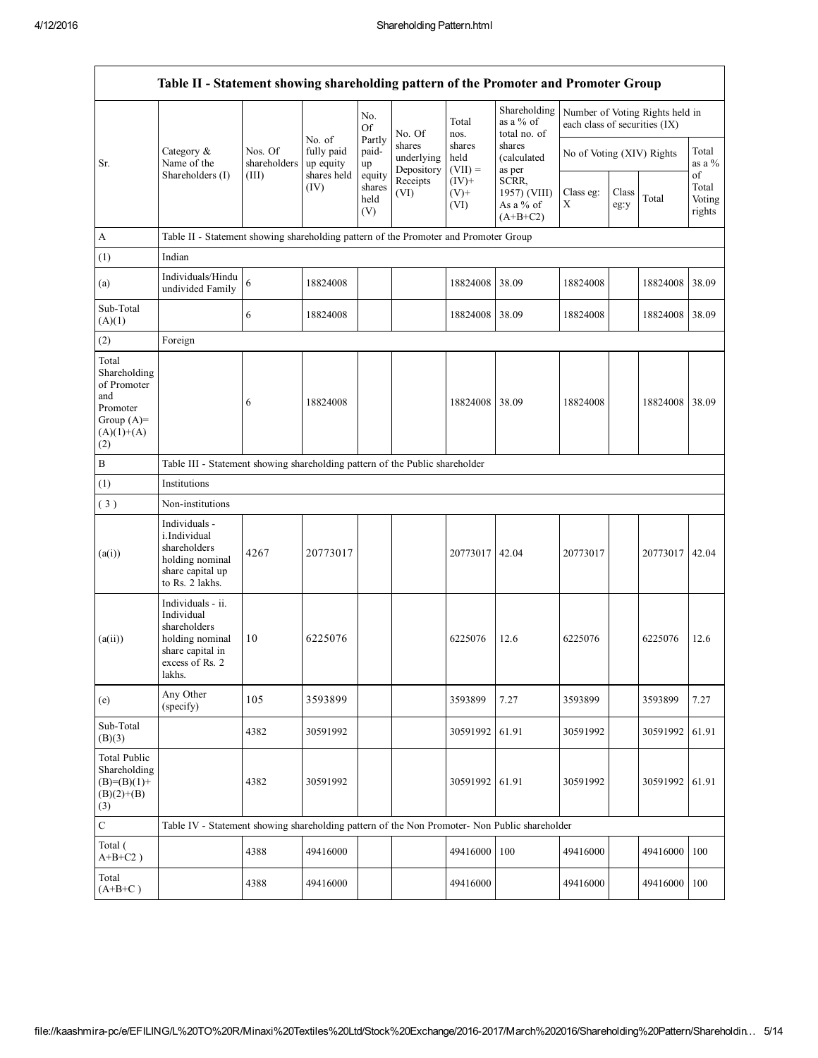|                                                                                                | Table II - Statement showing shareholding pattern of the Promoter and Promoter Group                                |                                                                                      |                                   |                                 |                                    |                             |                                                  |                               |               |                                 |                           |
|------------------------------------------------------------------------------------------------|---------------------------------------------------------------------------------------------------------------------|--------------------------------------------------------------------------------------|-----------------------------------|---------------------------------|------------------------------------|-----------------------------|--------------------------------------------------|-------------------------------|---------------|---------------------------------|---------------------------|
|                                                                                                |                                                                                                                     |                                                                                      | No. of<br>fully paid<br>up equity | No.<br>Of                       | No. Of                             | Total<br>nos.               | Shareholding<br>as a $%$ of<br>total no. of      | each class of securities (IX) |               | Number of Voting Rights held in |                           |
| Sr.                                                                                            | Category &<br>Name of the<br>Shareholders (I)                                                                       | Nos. Of<br>shareholders                                                              |                                   | Partly<br>paid-<br>up           | shares<br>underlying<br>Depository | shares<br>held<br>$(VII) =$ | shares<br>(calculated<br>as per                  | No of Voting (XIV) Rights     |               |                                 | Total<br>as a $%$<br>of   |
|                                                                                                |                                                                                                                     | (III)                                                                                | shares held<br>(IV)               | equity<br>shares<br>held<br>(V) | Receipts<br>(VI)                   | $(IV)+$<br>$(V)$ +<br>(VI)  | SCRR,<br>1957) (VIII)<br>As a % of<br>$(A+B+C2)$ | Class eg:<br>$\mathbf X$      | Class<br>eg:y | Total                           | Total<br>Voting<br>rights |
| $\mathbf{A}$                                                                                   |                                                                                                                     | Table II - Statement showing shareholding pattern of the Promoter and Promoter Group |                                   |                                 |                                    |                             |                                                  |                               |               |                                 |                           |
| (1)                                                                                            | Indian                                                                                                              |                                                                                      |                                   |                                 |                                    |                             |                                                  |                               |               |                                 |                           |
| (a)                                                                                            | Individuals/Hindu<br>undivided Family                                                                               | 6                                                                                    | 18824008                          |                                 |                                    | 18824008                    | 38.09                                            | 18824008                      |               | 18824008                        | 38.09                     |
| Sub-Total<br>(A)(1)                                                                            |                                                                                                                     | 6                                                                                    | 18824008                          |                                 |                                    | 18824008 38.09              |                                                  | 18824008                      |               | 18824008                        | 38.09                     |
| (2)                                                                                            | Foreign                                                                                                             |                                                                                      |                                   |                                 |                                    |                             |                                                  |                               |               |                                 |                           |
| Total<br>Shareholding<br>of Promoter<br>and<br>Promoter<br>Group $(A)=$<br>$(A)(1)+(A)$<br>(2) |                                                                                                                     | 6                                                                                    | 18824008                          |                                 |                                    | 18824008 38.09              |                                                  | 18824008                      |               | 18824008                        | 38.09                     |
| B                                                                                              | Table III - Statement showing shareholding pattern of the Public shareholder                                        |                                                                                      |                                   |                                 |                                    |                             |                                                  |                               |               |                                 |                           |
| (1)                                                                                            | Institutions                                                                                                        |                                                                                      |                                   |                                 |                                    |                             |                                                  |                               |               |                                 |                           |
| (3)                                                                                            | Non-institutions                                                                                                    |                                                                                      |                                   |                                 |                                    |                             |                                                  |                               |               |                                 |                           |
| (a(i))                                                                                         | Individuals -<br>i.Individual<br>shareholders<br>holding nominal<br>share capital up<br>to Rs. 2 lakhs.             | 4267                                                                                 | 20773017                          |                                 |                                    | 20773017                    | 42.04                                            | 20773017                      |               | 20773017                        | 42.04                     |
| (a(ii))                                                                                        | Individuals - ii.<br>Individual<br>shareholders<br>holding nominal<br>share capital in<br>excess of Rs. 2<br>lakhs. | 10                                                                                   | 6225076                           |                                 |                                    | 6225076                     | 12.6                                             | 6225076                       |               | 6225076                         | 12.6                      |
| (e)                                                                                            | Any Other<br>(specify)                                                                                              | 105                                                                                  | 3593899                           |                                 |                                    | 3593899                     | 7.27                                             | 3593899                       |               | 3593899                         | 7.27                      |
| Sub-Total<br>(B)(3)                                                                            |                                                                                                                     | 4382                                                                                 | 30591992                          |                                 |                                    | 30591992                    | 61.91                                            | 30591992                      |               | 30591992                        | 61.91                     |
| <b>Total Public</b><br>Shareholding<br>$(B)=(B)(1)+$<br>$(B)(2)+(B)$<br>(3)                    |                                                                                                                     | 4382                                                                                 | 30591992                          |                                 |                                    | 30591992 61.91              |                                                  | 30591992                      |               | 30591992                        | 61.91                     |
| $\mathbf C$                                                                                    | Table IV - Statement showing shareholding pattern of the Non Promoter- Non Public shareholder                       |                                                                                      |                                   |                                 |                                    |                             |                                                  |                               |               |                                 |                           |
| Total (<br>$A+B+C2$ )                                                                          |                                                                                                                     | 4388                                                                                 | 49416000                          |                                 |                                    | 49416000                    | 100                                              | 49416000                      |               | 49416000                        | 100                       |
| Total<br>$(A+B+C)$                                                                             |                                                                                                                     | 4388                                                                                 | 49416000                          |                                 |                                    | 49416000                    |                                                  | 49416000                      |               | 49416000                        | 100                       |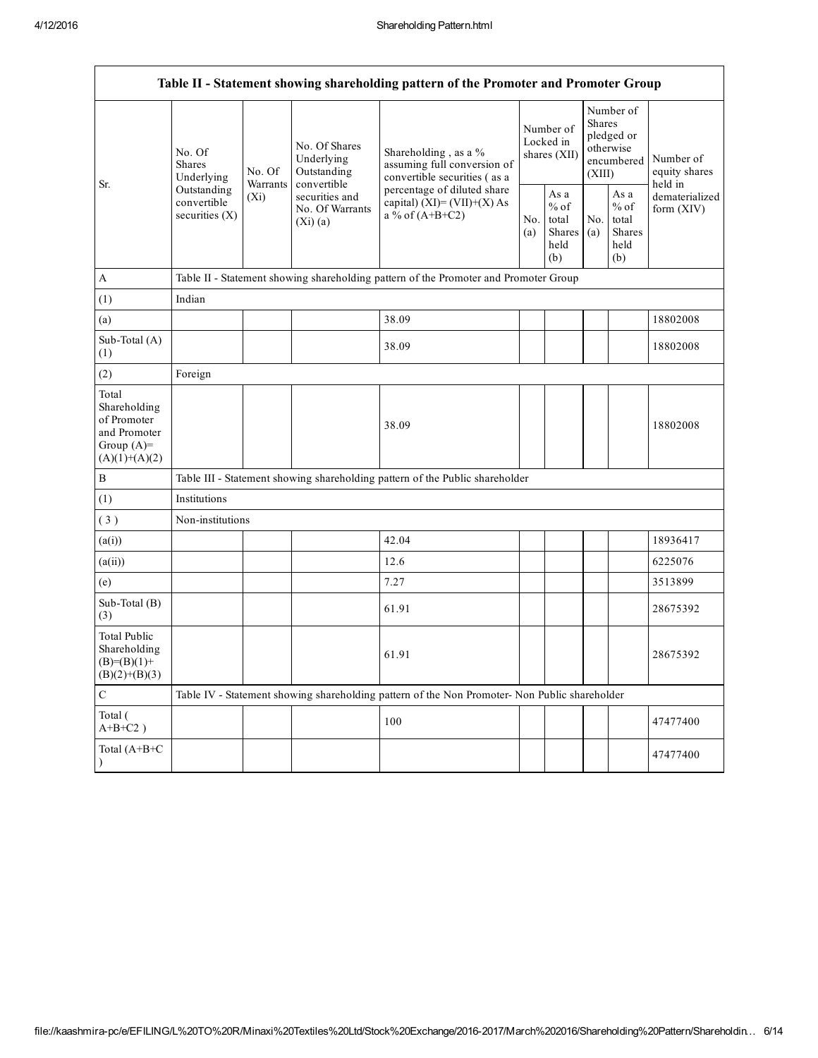|                                                                                         | Table II - Statement showing shareholding pattern of the Promoter and Promoter Group    |                                                                        |                                            |                                                                                                  |  |                                                  |            |                                                                               |                                                                       |  |
|-----------------------------------------------------------------------------------------|-----------------------------------------------------------------------------------------|------------------------------------------------------------------------|--------------------------------------------|--------------------------------------------------------------------------------------------------|--|--------------------------------------------------|------------|-------------------------------------------------------------------------------|-----------------------------------------------------------------------|--|
| Sr.                                                                                     | No. Of<br><b>Shares</b><br>Underlying<br>Outstanding<br>convertible<br>securities $(X)$ | No. Of<br>Warrants                                                     | No. Of Shares<br>Underlying<br>Outstanding | Shareholding, as a %<br>assuming full conversion of<br>convertible securities (as a              |  | Number of<br>Locked in<br>shares (XII)           |            | Number of<br><b>Shares</b><br>pledged or<br>otherwise<br>encumbered<br>(XIII) | Number of<br>equity shares<br>held in<br>dematerialized<br>form (XIV) |  |
|                                                                                         |                                                                                         | convertible<br>securities and<br>$(X_i)$<br>No. Of Warrants<br>(Xi)(a) |                                            | percentage of diluted share<br>capital) $(XI) = (VII)+(X) As$<br>a % of $(A+B+C2)$<br>No.<br>(a) |  | As a<br>$%$ of<br>total<br>Shares<br>held<br>(b) | No.<br>(a) | As a<br>$%$ of<br>total<br>Shares<br>held<br>(b)                              |                                                                       |  |
| $\mathbf{A}$                                                                            |                                                                                         |                                                                        |                                            | Table II - Statement showing shareholding pattern of the Promoter and Promoter Group             |  |                                                  |            |                                                                               |                                                                       |  |
| (1)                                                                                     | Indian                                                                                  |                                                                        |                                            |                                                                                                  |  |                                                  |            |                                                                               |                                                                       |  |
| (a)                                                                                     |                                                                                         |                                                                        |                                            | 38.09                                                                                            |  |                                                  |            |                                                                               | 18802008                                                              |  |
| Sub-Total (A)<br>(1)                                                                    |                                                                                         |                                                                        |                                            | 38.09                                                                                            |  |                                                  |            |                                                                               | 18802008                                                              |  |
| (2)                                                                                     | Foreign                                                                                 |                                                                        |                                            |                                                                                                  |  |                                                  |            |                                                                               |                                                                       |  |
| Total<br>Shareholding<br>of Promoter<br>and Promoter<br>Group $(A)=$<br>$(A)(1)+(A)(2)$ |                                                                                         |                                                                        |                                            | 38.09                                                                                            |  |                                                  |            |                                                                               | 18802008                                                              |  |
| $\, {\bf B}$                                                                            |                                                                                         |                                                                        |                                            | Table III - Statement showing shareholding pattern of the Public shareholder                     |  |                                                  |            |                                                                               |                                                                       |  |
| (1)                                                                                     | Institutions                                                                            |                                                                        |                                            |                                                                                                  |  |                                                  |            |                                                                               |                                                                       |  |
| (3)                                                                                     | Non-institutions                                                                        |                                                                        |                                            |                                                                                                  |  |                                                  |            |                                                                               |                                                                       |  |
| (a(i))                                                                                  |                                                                                         |                                                                        |                                            | 42.04                                                                                            |  |                                                  |            |                                                                               | 18936417                                                              |  |
| (a(ii))                                                                                 |                                                                                         |                                                                        |                                            | 12.6                                                                                             |  |                                                  |            |                                                                               | 6225076                                                               |  |
| (e)                                                                                     |                                                                                         |                                                                        |                                            | 7.27                                                                                             |  |                                                  |            |                                                                               | 3513899                                                               |  |
| Sub-Total (B)<br>(3)                                                                    |                                                                                         |                                                                        |                                            | 61.91                                                                                            |  |                                                  |            |                                                                               | 28675392                                                              |  |
| <b>Total Public</b><br>Shareholding<br>$(B)=(B)(1)+$<br>$(B)(2)+(B)(3)$                 |                                                                                         |                                                                        |                                            | 61.91                                                                                            |  |                                                  |            |                                                                               | 28675392                                                              |  |
| $\mathsf C$                                                                             |                                                                                         |                                                                        |                                            | Table IV - Statement showing shareholding pattern of the Non Promoter- Non Public shareholder    |  |                                                  |            |                                                                               |                                                                       |  |
| Total (<br>$A+B+C2$ )                                                                   |                                                                                         |                                                                        |                                            | 100                                                                                              |  |                                                  |            |                                                                               | 47477400                                                              |  |
| Total (A+B+C                                                                            |                                                                                         |                                                                        |                                            |                                                                                                  |  |                                                  |            |                                                                               | 47477400                                                              |  |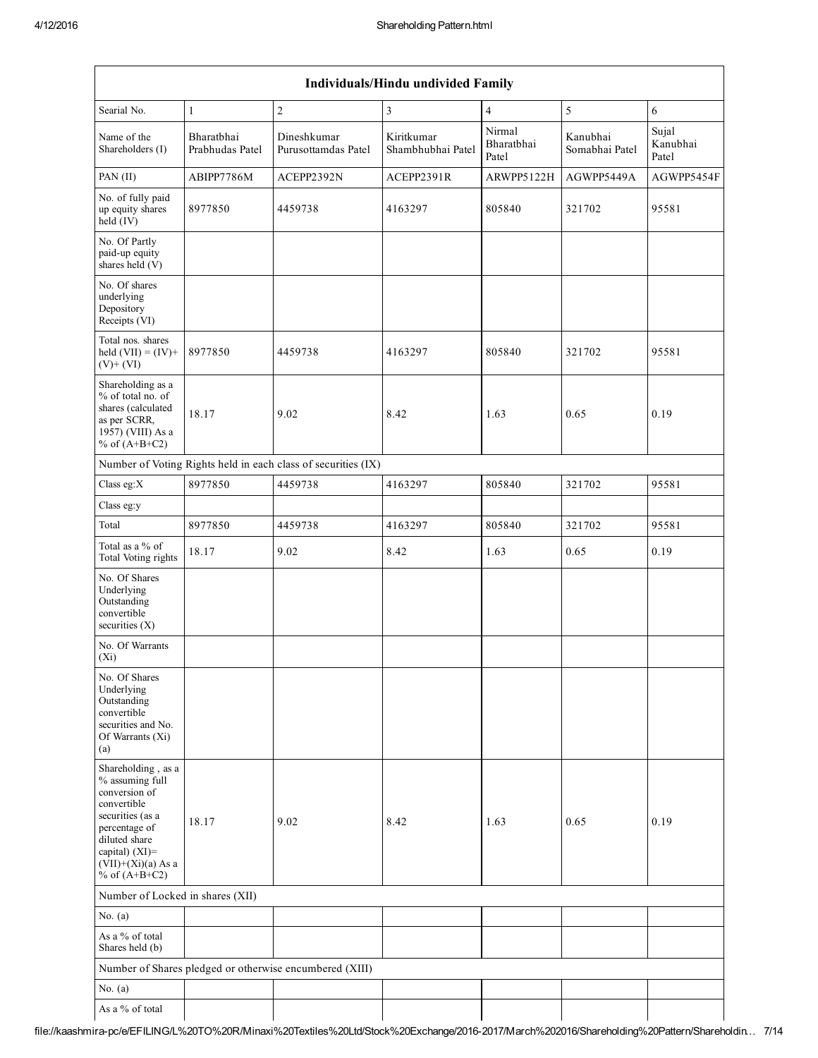| Individuals/Hindu undivided Family                                                                                                                                                          |                               |                                                               |                                 |                               |                            |                            |  |  |  |
|---------------------------------------------------------------------------------------------------------------------------------------------------------------------------------------------|-------------------------------|---------------------------------------------------------------|---------------------------------|-------------------------------|----------------------------|----------------------------|--|--|--|
| Searial No.                                                                                                                                                                                 | $\mathbf{1}$                  | $\overline{c}$                                                | 3                               | $\overline{4}$                | 5                          | 6                          |  |  |  |
| Name of the<br>Shareholders (I)                                                                                                                                                             | Bharathhai<br>Prabhudas Patel | Dineshkumar<br>Purusottamdas Patel                            | Kiritkumar<br>Shambhubhai Patel | Nirmal<br>Bharatbhai<br>Patel | Kanubhai<br>Somabhai Patel | Sujal<br>Kanubhai<br>Patel |  |  |  |
| PAN (II)                                                                                                                                                                                    | ABIPP7786M                    | ACEPP2392N                                                    | ACEPP2391R                      | ARWPP5122H                    | AGWPP5449A                 | AGWPP5454F                 |  |  |  |
| No. of fully paid<br>up equity shares<br>held $(V)$                                                                                                                                         | 8977850                       | 4459738                                                       | 4163297                         | 805840                        | 321702                     | 95581                      |  |  |  |
| No. Of Partly<br>paid-up equity<br>shares held (V)                                                                                                                                          |                               |                                                               |                                 |                               |                            |                            |  |  |  |
| No. Of shares<br>underlying<br>Depository<br>Receipts (VI)                                                                                                                                  |                               |                                                               |                                 |                               |                            |                            |  |  |  |
| Total nos, shares<br>held $(VII) = (IV) +$<br>$(V)+(VI)$                                                                                                                                    | 8977850                       | 4459738                                                       | 4163297                         | 805840                        | 321702                     | 95581                      |  |  |  |
| Shareholding as a<br>% of total no. of<br>shares (calculated<br>as per SCRR,<br>1957) (VIII) As a<br>% of $(A+B+C2)$                                                                        | 18.17                         | 9.02                                                          | 8.42                            | 1.63                          | 0.65                       | 0.19                       |  |  |  |
|                                                                                                                                                                                             |                               | Number of Voting Rights held in each class of securities (IX) |                                 |                               |                            |                            |  |  |  |
| Class eg: $X$                                                                                                                                                                               | 8977850                       | 4459738                                                       | 4163297                         | 805840                        | 321702                     | 95581                      |  |  |  |
| Class eg:y                                                                                                                                                                                  |                               |                                                               |                                 |                               |                            |                            |  |  |  |
| Total                                                                                                                                                                                       | 8977850                       | 4459738                                                       | 4163297                         | 805840                        | 321702                     | 95581                      |  |  |  |
| Total as a % of<br>Total Voting rights                                                                                                                                                      | 18.17                         | 9.02                                                          | 8.42                            | 1.63                          | 0.65                       | 0.19                       |  |  |  |
| No. Of Shares<br>Underlying<br>Outstanding<br>convertible<br>securities $(X)$                                                                                                               |                               |                                                               |                                 |                               |                            |                            |  |  |  |
| No. Of Warrants<br>$(X_i)$                                                                                                                                                                  |                               |                                                               |                                 |                               |                            |                            |  |  |  |
| No. Of Shares<br>Underlying<br>Outstanding<br>convertible<br>securities and No.<br>Of Warrants (Xi)<br>(a)                                                                                  |                               |                                                               |                                 |                               |                            |                            |  |  |  |
| Shareholding, as a<br>% assuming full<br>conversion of<br>convertible<br>securities (as a<br>percentage of<br>diluted share<br>capital) $(XI)$ =<br>$(VII)+(Xi)(a)$ As a<br>% of $(A+B+C2)$ | 18.17                         | 9.02                                                          | 8.42                            | 1.63                          | 0.65                       | 0.19                       |  |  |  |
| Number of Locked in shares (XII)                                                                                                                                                            |                               |                                                               |                                 |                               |                            |                            |  |  |  |
| No. $(a)$                                                                                                                                                                                   |                               |                                                               |                                 |                               |                            |                            |  |  |  |
| As a % of total<br>Shares held (b)                                                                                                                                                          |                               |                                                               |                                 |                               |                            |                            |  |  |  |
|                                                                                                                                                                                             |                               | Number of Shares pledged or otherwise encumbered (XIII)       |                                 |                               |                            |                            |  |  |  |
| No. $(a)$                                                                                                                                                                                   |                               |                                                               |                                 |                               |                            |                            |  |  |  |
| As a % of total                                                                                                                                                                             |                               |                                                               |                                 |                               |                            |                            |  |  |  |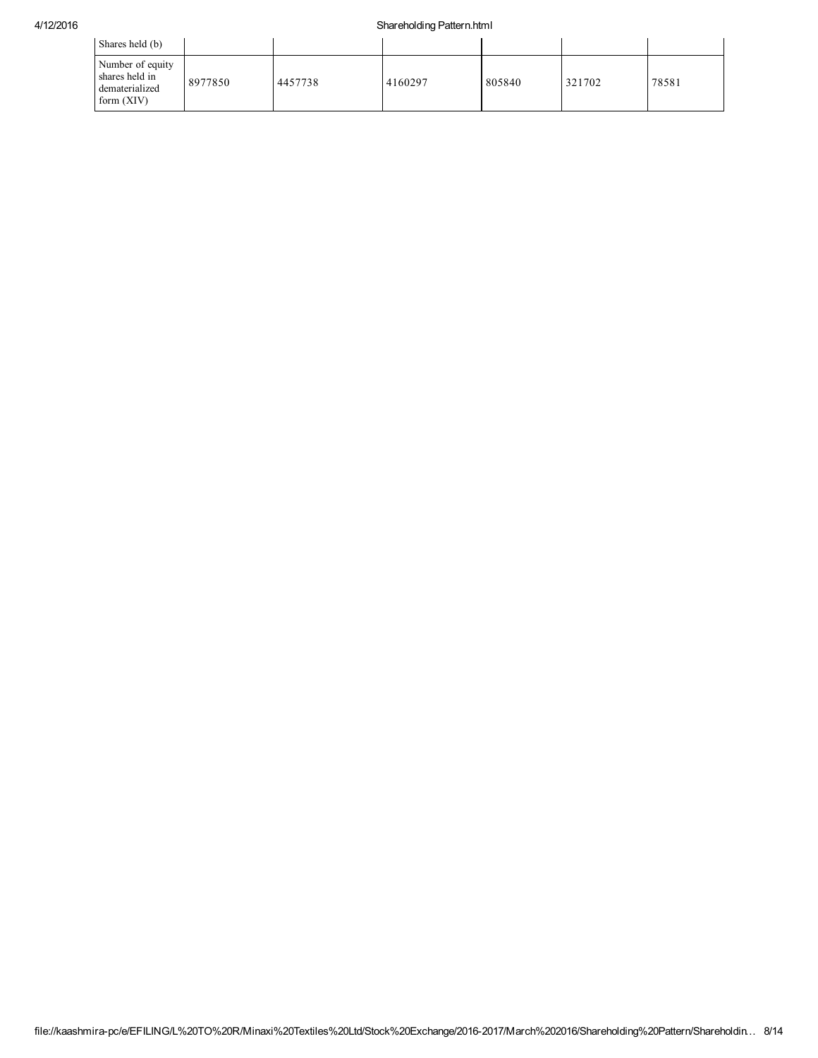## 4/12/2016 Shareholding Pattern.html

| Shares held (b)                                                      |         |         |         |        |        |       |
|----------------------------------------------------------------------|---------|---------|---------|--------|--------|-------|
| Number of equity<br>shares held in<br>dematerialized<br>form $(XIV)$ | 8977850 | 4457738 | 4160297 | 805840 | 321702 | 78581 |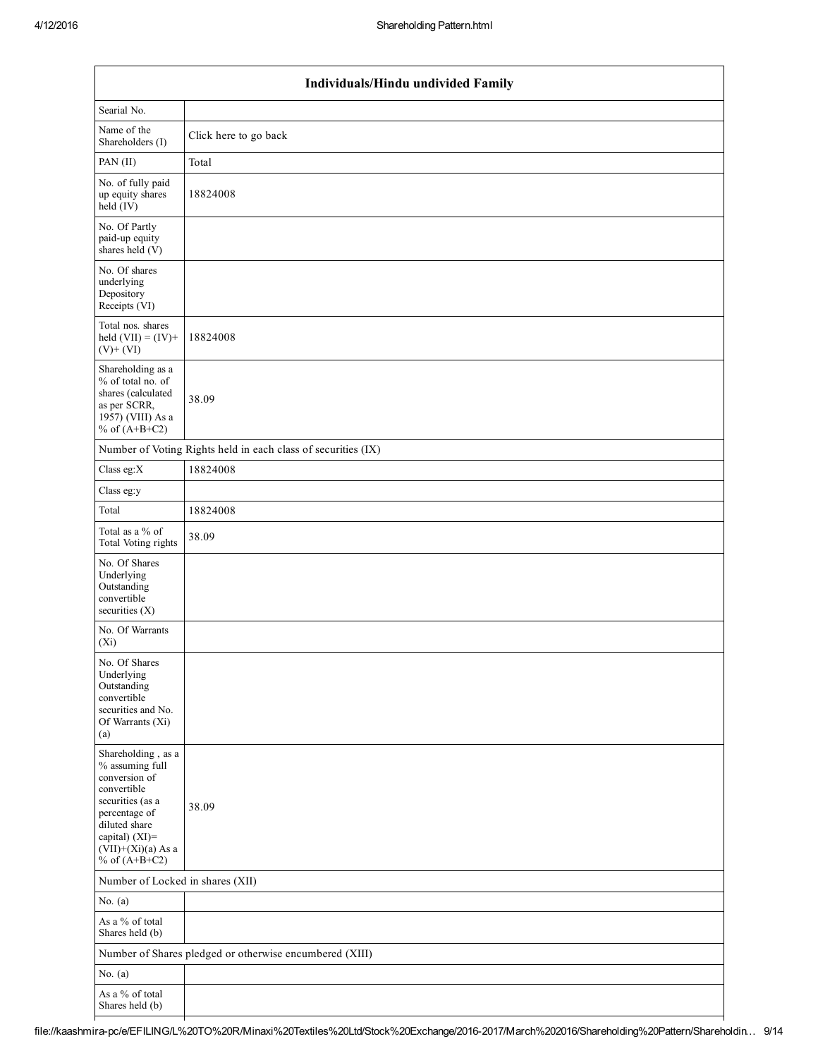|                                                                                                                                                                                          | Individuals/Hindu undivided Family                            |  |  |  |  |  |  |  |
|------------------------------------------------------------------------------------------------------------------------------------------------------------------------------------------|---------------------------------------------------------------|--|--|--|--|--|--|--|
| Searial No.                                                                                                                                                                              |                                                               |  |  |  |  |  |  |  |
| Name of the<br>Shareholders (I)                                                                                                                                                          | Click here to go back                                         |  |  |  |  |  |  |  |
| PAN (II)                                                                                                                                                                                 | Total                                                         |  |  |  |  |  |  |  |
| No. of fully paid<br>up equity shares<br>$held$ (IV)                                                                                                                                     | 18824008                                                      |  |  |  |  |  |  |  |
| No. Of Partly<br>paid-up equity<br>shares held (V)                                                                                                                                       |                                                               |  |  |  |  |  |  |  |
| No. Of shares<br>underlying<br>Depository<br>Receipts (VI)                                                                                                                               |                                                               |  |  |  |  |  |  |  |
| Total nos. shares<br>held $(VII) = (IV) +$<br>$(V) + (VI)$                                                                                                                               | 18824008                                                      |  |  |  |  |  |  |  |
| Shareholding as a<br>% of total no. of<br>shares (calculated<br>as per SCRR,<br>1957) (VIII) As a<br>% of $(A+B+C2)$                                                                     | 38.09                                                         |  |  |  |  |  |  |  |
|                                                                                                                                                                                          | Number of Voting Rights held in each class of securities (IX) |  |  |  |  |  |  |  |
| Class eg:X                                                                                                                                                                               | 18824008                                                      |  |  |  |  |  |  |  |
| Class eg:y                                                                                                                                                                               |                                                               |  |  |  |  |  |  |  |
| Total                                                                                                                                                                                    | 18824008                                                      |  |  |  |  |  |  |  |
| Total as a % of<br>Total Voting rights                                                                                                                                                   | 38.09                                                         |  |  |  |  |  |  |  |
| No. Of Shares<br>Underlying<br>Outstanding<br>convertible<br>securities $(X)$                                                                                                            |                                                               |  |  |  |  |  |  |  |
| No. Of Warrants<br>$(X_i)$                                                                                                                                                               |                                                               |  |  |  |  |  |  |  |
| No. Of Shares<br>Underlying<br>Outstanding<br>convertible<br>securities and No.<br>Of Warrants (Xi)<br>(a)                                                                               |                                                               |  |  |  |  |  |  |  |
| Shareholding, as a<br>% assuming full<br>conversion of<br>convertible<br>securities (as a<br>percentage of<br>diluted share<br>capital) (XI)=<br>$(VII)+(Xi)(a)$ As a<br>% of $(A+B+C2)$ | 38.09                                                         |  |  |  |  |  |  |  |
| Number of Locked in shares (XII)                                                                                                                                                         |                                                               |  |  |  |  |  |  |  |
| No. $(a)$                                                                                                                                                                                |                                                               |  |  |  |  |  |  |  |
| As a % of total<br>Shares held (b)                                                                                                                                                       |                                                               |  |  |  |  |  |  |  |
|                                                                                                                                                                                          | Number of Shares pledged or otherwise encumbered (XIII)       |  |  |  |  |  |  |  |
| No. $(a)$                                                                                                                                                                                |                                                               |  |  |  |  |  |  |  |
| As a % of total<br>Shares held (b)                                                                                                                                                       |                                                               |  |  |  |  |  |  |  |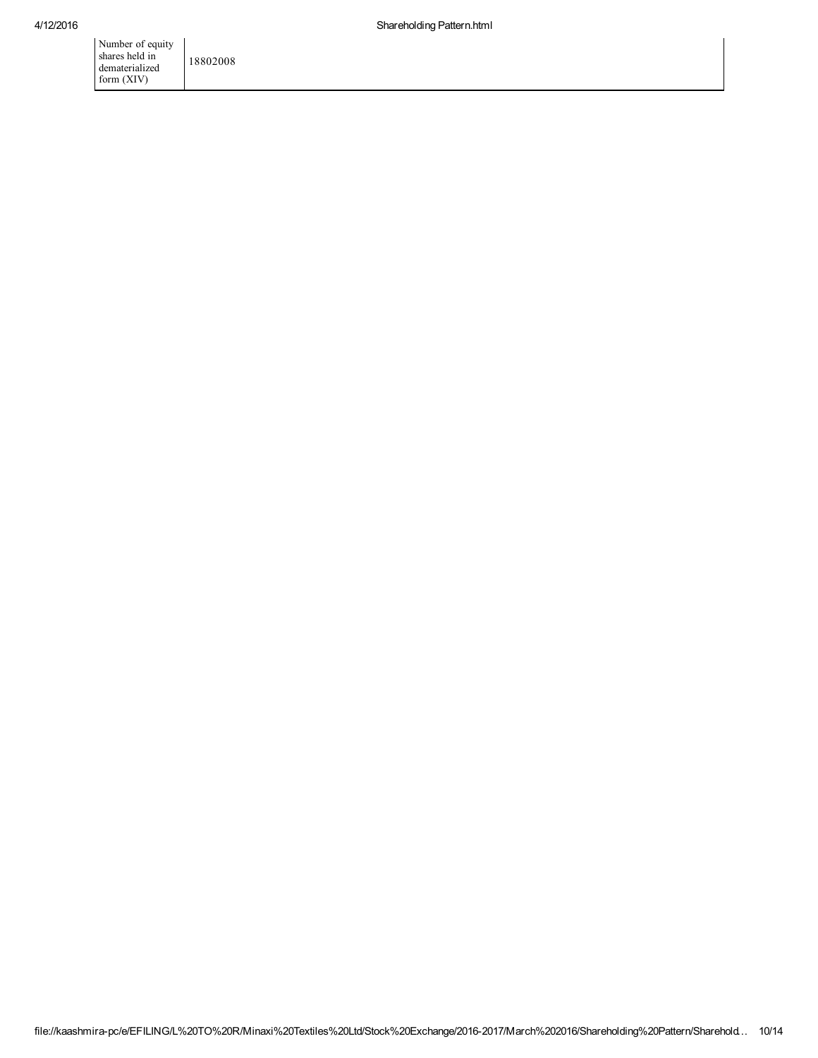| Number of equity |          |
|------------------|----------|
| shares held in   | 18802008 |
| dematerialized   |          |
| form (XIV)       |          |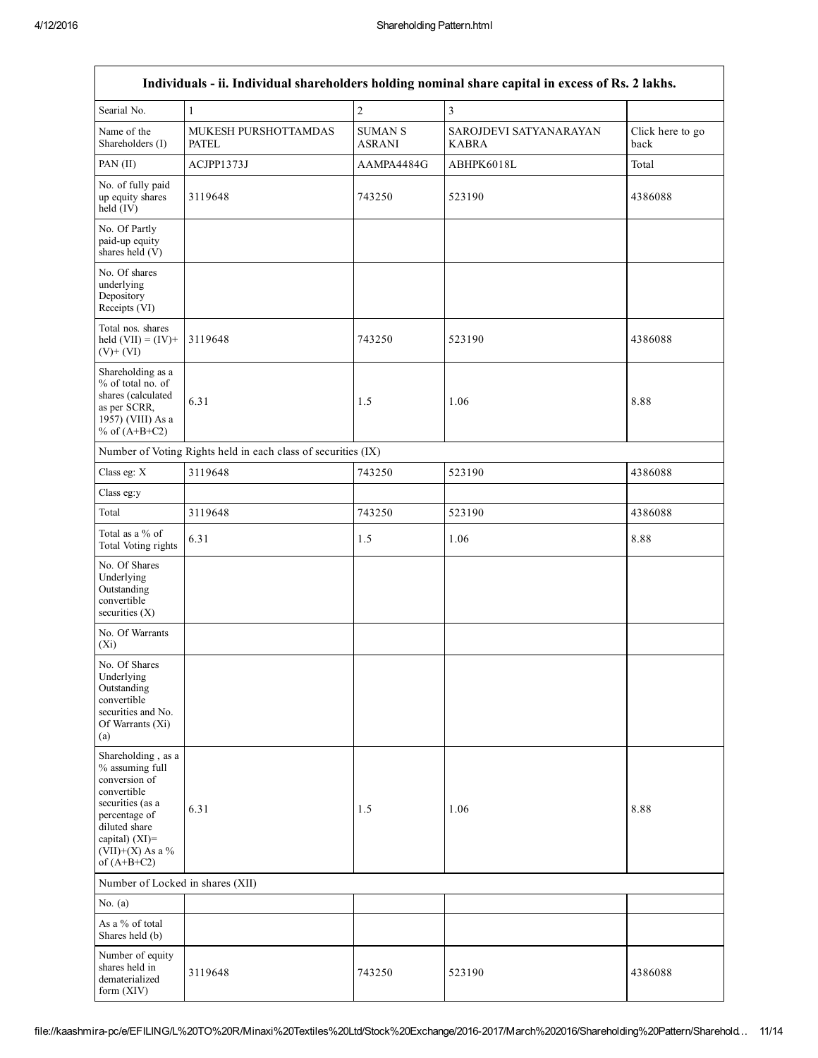|                                                                                                                                                                                         |                                                               |                                 | Individuals - ii. Individual shareholders holding nominal share capital in excess of Rs. 2 lakhs. |                          |
|-----------------------------------------------------------------------------------------------------------------------------------------------------------------------------------------|---------------------------------------------------------------|---------------------------------|---------------------------------------------------------------------------------------------------|--------------------------|
| Searial No.                                                                                                                                                                             | $\mathbf{1}$                                                  | $\overline{c}$                  | 3                                                                                                 |                          |
| Name of the<br>Shareholders (I)                                                                                                                                                         | MUKESH PURSHOTTAMDAS<br><b>PATEL</b>                          | <b>SUMAN S</b><br><b>ASRANI</b> | SAROJDEVI SATYANARAYAN<br><b>KABRA</b>                                                            | Click here to go<br>back |
| PAN (II)                                                                                                                                                                                | ACJPP1373J                                                    | AAMPA4484G                      | ABHPK6018L                                                                                        | Total                    |
| No. of fully paid<br>up equity shares<br>$held$ (IV)                                                                                                                                    | 3119648                                                       | 743250                          | 523190                                                                                            | 4386088                  |
| No. Of Partly<br>paid-up equity<br>shares held (V)                                                                                                                                      |                                                               |                                 |                                                                                                   |                          |
| No. Of shares<br>underlying<br>Depository<br>Receipts (VI)                                                                                                                              |                                                               |                                 |                                                                                                   |                          |
| Total nos. shares<br>held $(VII) = (IV) +$<br>$(V)+(VI)$                                                                                                                                | 3119648                                                       | 743250                          | 523190                                                                                            | 4386088                  |
| Shareholding as a<br>% of total no. of<br>shares (calculated<br>as per SCRR,<br>1957) (VIII) As a<br>% of $(A+B+C2)$                                                                    | 6.31                                                          | 1.5                             | 1.06                                                                                              | 8.88                     |
|                                                                                                                                                                                         | Number of Voting Rights held in each class of securities (IX) |                                 |                                                                                                   |                          |
| Class eg: X                                                                                                                                                                             | 3119648                                                       | 743250                          | 523190                                                                                            | 4386088                  |
| Class eg:y                                                                                                                                                                              |                                                               |                                 |                                                                                                   |                          |
| Total                                                                                                                                                                                   | 3119648                                                       | 743250                          | 523190                                                                                            | 4386088                  |
| Total as a % of<br>Total Voting rights                                                                                                                                                  | 6.31                                                          | 1.5                             | 1.06                                                                                              | 8.88                     |
| No. Of Shares<br>Underlying<br>Outstanding<br>convertible<br>securities $(X)$                                                                                                           |                                                               |                                 |                                                                                                   |                          |
| No. Of Warrants<br>$(X_i)$                                                                                                                                                              |                                                               |                                 |                                                                                                   |                          |
| No. Of Shares<br>Underlying<br>Outstanding<br>convertible<br>securities and No.<br>Of Warrants (Xi)<br>(a)                                                                              |                                                               |                                 |                                                                                                   |                          |
| Shareholding, as a<br>% assuming full<br>conversion of<br>convertible<br>securities (as a<br>percentage of<br>diluted share<br>capital) $(XI)$ =<br>$(VII)+(X)$ As a %<br>of $(A+B+C2)$ | 6.31                                                          | 1.5                             | 1.06                                                                                              | 8.88                     |
| Number of Locked in shares (XII)                                                                                                                                                        |                                                               |                                 |                                                                                                   |                          |
| No. $(a)$                                                                                                                                                                               |                                                               |                                 |                                                                                                   |                          |
| As a % of total<br>Shares held (b)                                                                                                                                                      |                                                               |                                 |                                                                                                   |                          |
| Number of equity<br>shares held in<br>dematerialized<br>form (XIV)                                                                                                                      | 3119648                                                       | 743250                          | 523190                                                                                            | 4386088                  |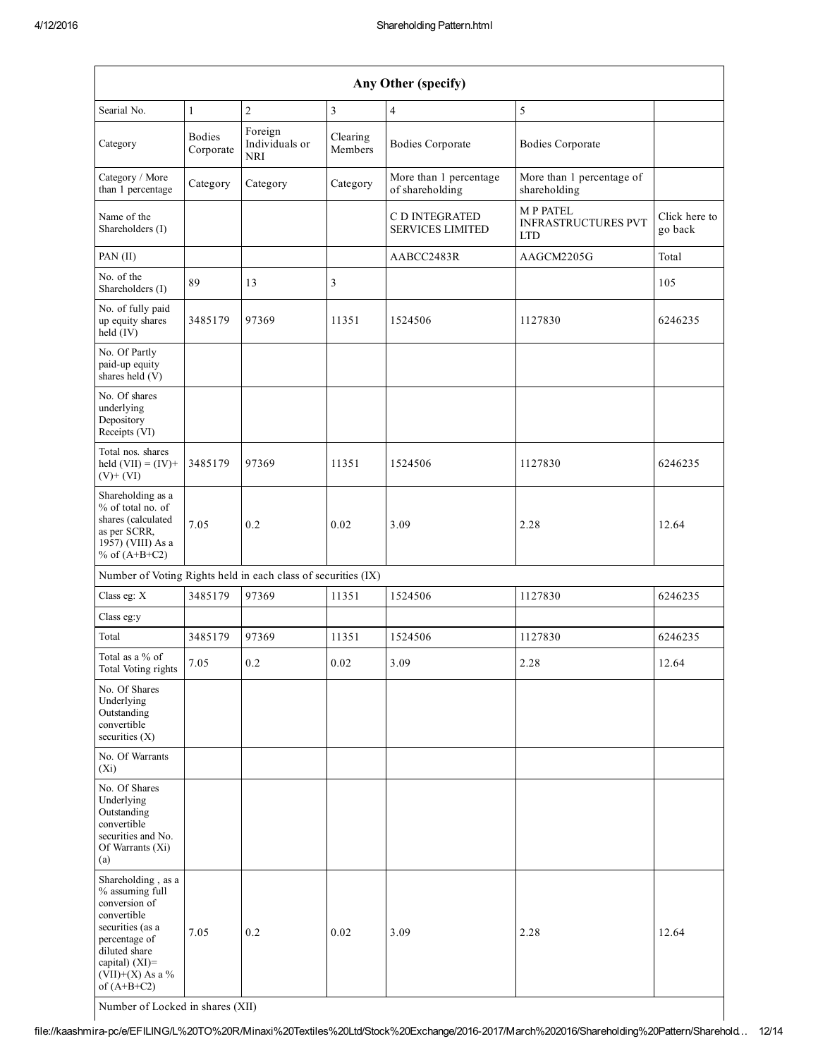| Any Other (specify)                                                                                                                                                                  |                            |                                  |                     |                                           |                                                             |                          |  |  |  |
|--------------------------------------------------------------------------------------------------------------------------------------------------------------------------------------|----------------------------|----------------------------------|---------------------|-------------------------------------------|-------------------------------------------------------------|--------------------------|--|--|--|
| Searial No.                                                                                                                                                                          | $\mathbf{1}$               | $\overline{c}$                   | $\overline{3}$      | $\overline{4}$                            | 5                                                           |                          |  |  |  |
| Category                                                                                                                                                                             | <b>Bodies</b><br>Corporate | Foreign<br>Individuals or<br>NRI | Clearing<br>Members | <b>Bodies Corporate</b>                   | <b>Bodies Corporate</b>                                     |                          |  |  |  |
| Category / More<br>than 1 percentage                                                                                                                                                 | Category                   | Category                         | Category            | More than 1 percentage<br>of shareholding | More than 1 percentage of<br>shareholding                   |                          |  |  |  |
| Name of the<br>Shareholders (I)                                                                                                                                                      |                            |                                  |                     | C D INTEGRATED<br><b>SERVICES LIMITED</b> | <b>MP PATEL</b><br><b>INFRASTRUCTURES PVT</b><br><b>LTD</b> | Click here to<br>go back |  |  |  |
| PAN (II)                                                                                                                                                                             |                            |                                  |                     | AABCC2483R                                | AAGCM2205G                                                  | Total                    |  |  |  |
| No. of the<br>Shareholders (I)                                                                                                                                                       | 89                         | 13                               | 3                   |                                           |                                                             | 105                      |  |  |  |
| No. of fully paid<br>up equity shares<br>held (IV)                                                                                                                                   | 3485179                    | 97369                            | 11351               | 1524506                                   | 1127830                                                     | 6246235                  |  |  |  |
| No. Of Partly<br>paid-up equity<br>shares held (V)                                                                                                                                   |                            |                                  |                     |                                           |                                                             |                          |  |  |  |
| No. Of shares<br>underlying<br>Depository<br>Receipts (VI)                                                                                                                           |                            |                                  |                     |                                           |                                                             |                          |  |  |  |
| Total nos. shares<br>held $(VII) = (IV) +$<br>$(V)$ + $(VI)$                                                                                                                         | 3485179                    | 97369                            | 11351               | 1524506                                   | 1127830                                                     | 6246235                  |  |  |  |
| Shareholding as a<br>% of total no. of<br>shares (calculated<br>as per SCRR,<br>1957) (VIII) As a<br>% of $(A+B+C2)$                                                                 | 7.05                       | 0.2                              | 0.02                | 3.09                                      | 2.28                                                        | 12.64                    |  |  |  |
| Number of Voting Rights held in each class of securities (IX)                                                                                                                        |                            |                                  |                     |                                           |                                                             |                          |  |  |  |
| Class eg: X                                                                                                                                                                          | 3485179                    | 97369                            | 11351               | 1524506                                   | 1127830                                                     | 6246235                  |  |  |  |
| Class eg:y                                                                                                                                                                           |                            |                                  |                     |                                           |                                                             |                          |  |  |  |
| Total                                                                                                                                                                                | 3485179                    | 97369                            | 11351               | 1524506                                   | 1127830                                                     | 6246235                  |  |  |  |
| Total as a % of<br>Total Voting rights                                                                                                                                               | 7.05                       | 0.2                              | 0.02                | 3.09                                      | 2.28                                                        | 12.64                    |  |  |  |
| No. Of Shares<br>Underlying<br>Outstanding<br>convertible<br>securities $(X)$                                                                                                        |                            |                                  |                     |                                           |                                                             |                          |  |  |  |
| No. Of Warrants<br>$(X_i)$                                                                                                                                                           |                            |                                  |                     |                                           |                                                             |                          |  |  |  |
| No. Of Shares<br>Underlying<br>Outstanding<br>convertible<br>securities and No.<br>Of Warrants (Xi)<br>(a)                                                                           |                            |                                  |                     |                                           |                                                             |                          |  |  |  |
| Shareholding, as a<br>% assuming full<br>conversion of<br>convertible<br>securities (as a<br>percentage of<br>diluted share<br>capital) (XI)=<br>$(VII)+(X)$ As a %<br>of $(A+B+C2)$ | 7.05                       | 0.2                              | 0.02                | 3.09                                      | 2.28                                                        | 12.64                    |  |  |  |

Number of Locked in shares (XII)